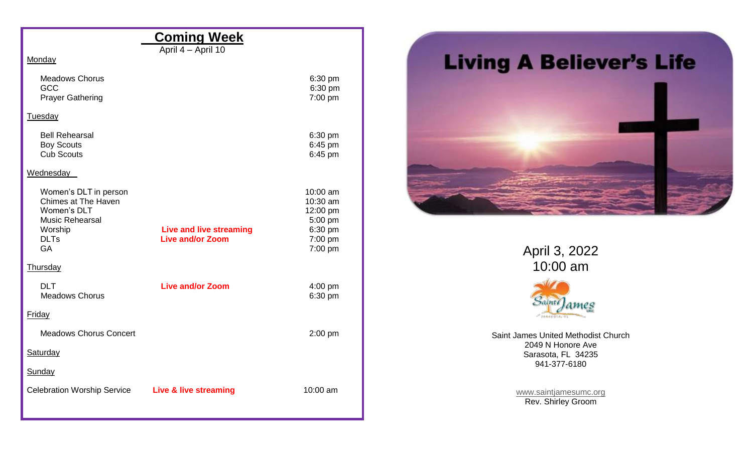| <b>Coming Week</b>                                                                                                           |                                                           |                                                                              |  |  |  |  |  |  |
|------------------------------------------------------------------------------------------------------------------------------|-----------------------------------------------------------|------------------------------------------------------------------------------|--|--|--|--|--|--|
|                                                                                                                              | April 4 - April 10                                        |                                                                              |  |  |  |  |  |  |
| Monday                                                                                                                       |                                                           |                                                                              |  |  |  |  |  |  |
| <b>Meadows Chorus</b><br>GCC<br><b>Prayer Gathering</b>                                                                      |                                                           | 6:30 pm<br>6:30 pm<br>7:00 pm                                                |  |  |  |  |  |  |
| Tuesday                                                                                                                      |                                                           |                                                                              |  |  |  |  |  |  |
| <b>Bell Rehearsal</b><br><b>Boy Scouts</b><br><b>Cub Scouts</b>                                                              |                                                           | 6:30 pm<br>6:45 pm<br>6:45 pm                                                |  |  |  |  |  |  |
| Wednesday                                                                                                                    |                                                           |                                                                              |  |  |  |  |  |  |
| Women's DLT in person<br>Chimes at The Haven<br>Women's DLT<br><b>Music Rehearsal</b><br>Worship<br><b>DLTs</b><br><b>GA</b> | <b>Live and live streaming</b><br><b>Live and/or Zoom</b> | 10:00 am<br>10:30 am<br>12:00 pm<br>5:00 pm<br>6:30 pm<br>7:00 pm<br>7:00 pm |  |  |  |  |  |  |
| <b>Thursday</b>                                                                                                              |                                                           |                                                                              |  |  |  |  |  |  |
| <b>DLT</b><br><b>Meadows Chorus</b>                                                                                          | <b>Live and/or Zoom</b>                                   | $4:00$ pm<br>6:30 pm                                                         |  |  |  |  |  |  |
| <b>Friday</b>                                                                                                                |                                                           |                                                                              |  |  |  |  |  |  |
| <b>Meadows Chorus Concert</b>                                                                                                |                                                           | 2:00 pm                                                                      |  |  |  |  |  |  |
| Saturday                                                                                                                     |                                                           |                                                                              |  |  |  |  |  |  |
| Sunday                                                                                                                       |                                                           |                                                                              |  |  |  |  |  |  |
| Celebration Worship Service Live & live streaming                                                                            |                                                           | 10:00 am                                                                     |  |  |  |  |  |  |



April 3, 2022 10:00 am



Saint James United Methodist Church 2049 N Honore Ave Sarasota, FL 34235 941-377-6180

> [www.saintjamesumc.org](http://www.saintjamesumc.org/) Rev. Shirley Groom